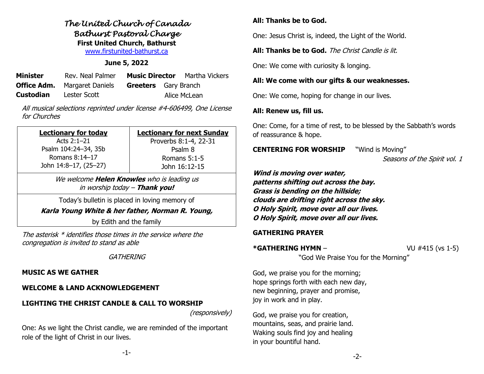# *The United Church of Canada Bathurst Pastoral Charge*  **First United Church, Bathurst** [www.firstunited-bathurst.ca](http://www.firstunited-bathurst.ca/)

## **June 5, 2022**

| Minister  | Rev. Neal Palmer                    | <b>Music Director</b>       | Martha Vickers |
|-----------|-------------------------------------|-----------------------------|----------------|
|           | <b>Office Adm.</b> Margaret Daniels | <b>Greeters</b> Gary Branch |                |
| Custodian | Lester Scott                        |                             | Alice McLean   |

All musical selections reprinted under license #4-606499, One License for Churches

| <b>Lectionary for today</b> | <b>Lectionary for next Sunday</b> |  |  |
|-----------------------------|-----------------------------------|--|--|
| Acts $2:1-21$               | Proverbs 8:1-4, 22-31<br>Psalm 8  |  |  |
| Psalm 104:24-34, 35b        |                                   |  |  |
| Romans $8:14-17$            | Romans $5:1-5$                    |  |  |
| John 14:8-17, (25-27)       | John 16:12-15                     |  |  |

We welcome **Helen Knowles** who is leading us in worship today – **Thank you!**

Today's bulletin is placed in loving memory of

**Karla Young White & her father, Norman R. Young,**

by Edith and the family

The asterisk \* identifies those times in the service where the congregation is invited to stand as able

**GATHERING** 

## **MUSIC AS WE GATHER**

#### **WELCOME & LAND ACKNOWLEDGEMENT**

## **LIGHTING THE CHRIST CANDLE & CALL TO WORSHIP**

(responsively)

One: As we light the Christ candle, we are reminded of the important role of the light of Christ in our lives.

## **All: Thanks be to God.**

One: Jesus Christ is, indeed, the Light of the World.

#### **All: Thanks be to God.** The Christ Candle is lit.

One: We come with curiosity & longing.

## **All: We come with our gifts & our weaknesses.**

One: We come, hoping for change in our lives.

## **All: Renew us, fill us.**

One: Come, for a time of rest, to be blessed by the Sabbath's words of reassurance & hope.

**CENTERING FOR WORSHIP** "Wind is Moving"

Seasons of the Spirit vol. 1

**Wind is moving over water, patterns shifting out across the bay. Grass is bending on the hillside; clouds are drifting right across the sky. O Holy Spirit, move over all our lives. O Holy Spirit, move over all our lives.**

#### **GATHERING PRAYER**

#### **\*GATHERING HYMN** – VU #415 (vs 1-5)

"God We Praise You for the Morning"

God, we praise you for the morning; hope springs forth with each new day, new beginning, prayer and promise, joy in work and in play.

God, we praise you for creation, mountains, seas, and prairie land. Waking souls find joy and healing in your bountiful hand.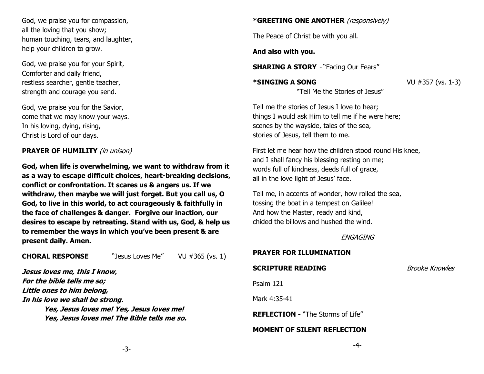God, we praise you for compassion, all the loving that you show; human touching, tears, and laughter, help your children to grow.

God, we praise you for your Spirit, Comforter and daily friend, restless searcher, gentle teacher, strength and courage you send.

God, we praise you for the Savior, come that we may know your ways. In his loving, dying, rising, Christ is Lord of our days.

## **PRAYER OF HUMILITY** (in unison)

**God, when life is overwhelming, we want to withdraw from it as a way to escape difficult choices, heart-breaking decisions, conflict or confrontation. It scares us & angers us. If we withdraw, then maybe we will just forget. But you call us, O God, to live in this world, to act courageously & faithfully in the face of challenges & danger. Forgive our inaction, our desires to escape by retreating. Stand with us, God, & help us to remember the ways in which you've been present & are present daily. Amen.** 

**CHORAL RESPONSE** "Jesus Loves Me" VU #365 (vs. 1)

**Jesus loves me, this I know, For the bible tells me so; Little ones to him belong, In his love we shall be strong. Yes, Jesus loves me! Yes, Jesus loves me! Yes, Jesus loves me! The Bible tells me so.**

# **\*GREETING ONE ANOTHER** (responsively)

The Peace of Christ be with you all.

**And also with you.**

**SHARING A STORY** - "Facing Our Fears"

**\*SINGING A SONG** VU #357 (vs. 1-3) "Tell Me the Stories of Jesus"

Tell me the stories of Jesus I love to hear; things I would ask Him to tell me if he were here; scenes by the wayside, tales of the sea, stories of Jesus, tell them to me.

First let me hear how the children stood round His knee, and I shall fancy his blessing resting on me; words full of kindness, deeds full of grace, all in the love light of Jesus' face.

Tell me, in accents of wonder, how rolled the sea, tossing the boat in a tempest on Galilee! And how the Master, ready and kind, chided the billows and hushed the wind.

ENGAGING

# **PRAYER FOR ILLUMINATION**

# **SCRIPTURE READING** Brooke Knowles

Psalm 121

Mark 4:35-41

**REFLECTION -** "The Storms of Life"

# **MOMENT OF SILENT REFLECTION**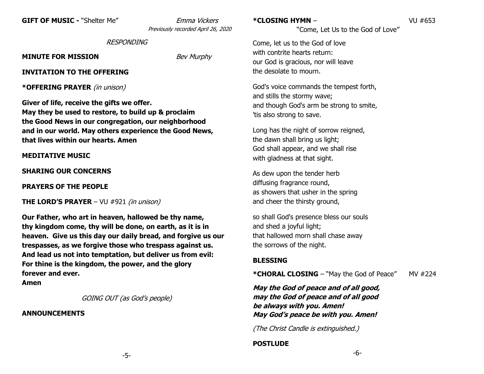**GIFT OF MUSIC -** "Shelter Me" Emma Vickers

Previously recorded April 26, 2020

#### **RESPONDING**

**MINUTE FOR MISSION** Bev Murphy

#### **INVITATION TO THE OFFERING**

**\*OFFERING PRAYER** (in unison)

**Giver of life, receive the gifts we offer. May they be used to restore, to build up & proclaim the Good News in our congregation, our neighborhood and in our world. May others experience the Good News, that lives within our hearts. Amen**

## **MEDITATIVE MUSIC**

**SHARING OUR CONCERNS** 

**PRAYERS OF THE PEOPLE** 

**THE LORD'S PRAYER** – VU #921 (in unison)

**Our Father, who art in heaven, hallowed be thy name, thy kingdom come, thy will be done, on earth, as it is in heaven. Give us this day our daily bread, and forgive us our trespasses, as we forgive those who trespass against us. And lead us not into temptation, but deliver us from evil: For thine is the kingdom, the power, and the glory forever and ever.**

**Amen**

GOING OUT (as God's people)

#### **ANNOUNCEMENTS**

**\*CLOSING HYMN** – VU #653

"Come, Let Us to the God of Love"

Come, let us to the God of love with contrite hearts return: our God is gracious, nor will leave the desolate to mourn.

God's voice commands the tempest forth, and stills the stormy wave; and though God's arm be strong to smite, 'tis also strong to save.

Long has the night of sorrow reigned, the dawn shall bring us light; God shall appear, and we shall rise with gladness at that sight.

As dew upon the tender herb diffusing fragrance round, as showers that usher in the spring and cheer the thirsty ground,

so shall God's presence bless our souls and shed a joyful light; that hallowed morn shall chase away the sorrows of the night.

## **BLESSING**

**\*CHORAL CLOSING** – "May the God of Peace" MV #224

**May the God of peace and of all good, may the God of peace and of all good be always with you. Amen! May God's peace be with you. Amen!**

(The Christ Candle is extinguished.)

# **POSTLUDE**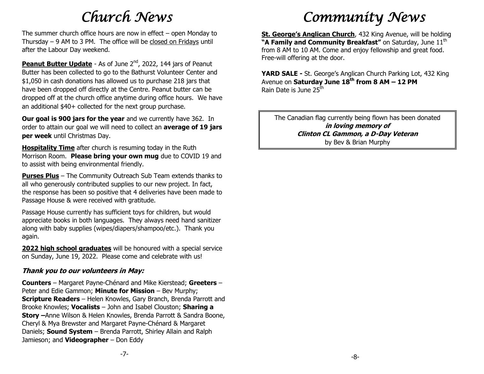# *Church News*

The summer church office hours are now in effect – open Monday to Thursday – 9 AM to 3 PM. The office will be closed on Fridays until after the Labour Day weekend.

**Peanut Butter Update** - As of June 2<sup>nd</sup>, 2022, 144 jars of Peanut Butter has been collected to go to the Bathurst Volunteer Center and \$1,050 in cash donations has allowed us to purchase 218 jars that have been dropped off directly at the Centre. Peanut butter can be dropped off at the church office anytime during office hours. We have an additional \$40+ collected for the next group purchase.

**Our goal is 900 jars for the year** and we currently have 362. In order to attain our goal we will need to collect an **average of 19 jars per week** until Christmas Day.

**Hospitality Time** after church is resuming today in the Ruth Morrison Room. **Please bring your own mug** due to COVID 19 and to assist with being environmental friendly.

**Purses Plus** – The Community Outreach Sub Team extends thanks to all who generously contributed supplies to our new project. In fact, the response has been so positive that 4 deliveries have been made to Passage House & were received with gratitude.

Passage House currently has sufficient toys for children, but would appreciate books in both languages. They always need hand sanitizer along with baby supplies (wipes/diapers/shampoo/etc.). Thank you again.

**2022 high school graduates** will be honoured with a special service on Sunday, June 19, 2022. Please come and celebrate with us!

## **Thank you to our volunteers in May:**

**Counters** – Margaret Payne-Chénard and Mike Kierstead; **Greeters** – Peter and Edie Gammon; **Minute for Mission** – Bev Murphy; **Scripture Readers** – Helen Knowles, Gary Branch, Brenda Parrott and Brooke Knowles; **Vocalists** – John and Isabel Clouston; **Sharing a Story –**Anne Wilson & Helen Knowles, Brenda Parrott & Sandra Boone, Cheryl & Mya Brewster and Margaret Payne-Chénard & Margaret Daniels; **Sound System** – Brenda Parrott, Shirley Allain and Ralph Jamieson; and **Videographer** – Don Eddy

# *Community News*

**St. George's Anglican Church**, 432 King Avenue, will be holding **"A Family and Community Breakfast"** on Saturday, June 11<sup>th</sup> from 8 AM to 10 AM. Come and enjoy fellowship and great food. Free-will offering at the door.

**YARD SALE -** St. George's Anglican Church Parking Lot, 432 King Avenue on **Saturday June 18th from 8 AM – 12 PM** Rain Date is June 25<sup>th</sup>

The Canadian flag currently being flown has been donated **in loving memory of Clinton CL Gammon, a D-Day Veteran** by Bev & Brian Murphy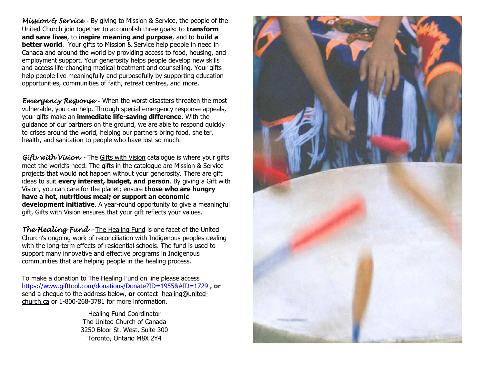*Mission & Service -* By giving to Mission & Service, the people of the United Church join together to accomplish three goals: to **transform and save lives**, to **inspire meaning and purpose**, and to **build a better world**. Your gifts to Mission & Service help people in need in Canada and around the world by providing access to food, housing, and employment support. Your generosity helps people develop new skills and access life-changing medical treatment and counselling. Your gifts help people live meaningfully and purposefully by supporting education opportunities, communities of faith, retreat centres, and more.

*Emergency Response -* When the worst disasters threaten the most vulnerable, you can help. Through special emergency response appeals, your gifts make an **immediate life-saving difference**. With the guidance of our partners on the ground, we are able to respond quickly to crises around the world, helping our partners bring food, shelter, health, and sanitation to people who have lost so much.

*Gifts with Vision -* The Gifts with Vision catalogue is where your gifts meet the world's need. The gifts in the catalogue are Mission & Service projects that would not happen without your generosity. There are gift ideas to suit **every interest, budget, and person**. By giving a Gift with Vision, you can care for the planet; ensure **those who are hungry have a hot, nutritious meal; or support an economic development initiative**. A year-round opportunity to give a meaningful gift, Gifts with Vision ensures that your gift reflects your values.

*The Healing Fund -* [The Healing Fund](https://united-church.ca/node/18584) is one facet of the United Church's ongoing work of reconciliation with Indigenous peoples dealing with the long-term effects of residential schools. The fund is used to support many innovative and effective programs in Indigenous communities that are helping people in the healing process.

To make a donation to The Healing Fund on line please access <https://www.gifttool.com/donations/Donate?ID=1955&AID=1729> **, or**  send a cheque to the address below, **or** contact [healing@united](mailto:healing@united-church.ca)[church.ca](mailto:healing@united-church.ca) or 1-800-268-3781 for more information.

> Healing Fund Coordinator The United Church of Canada 3250 Bloor St. West, Suite 300 Toronto, Ontario M8X 2Y4